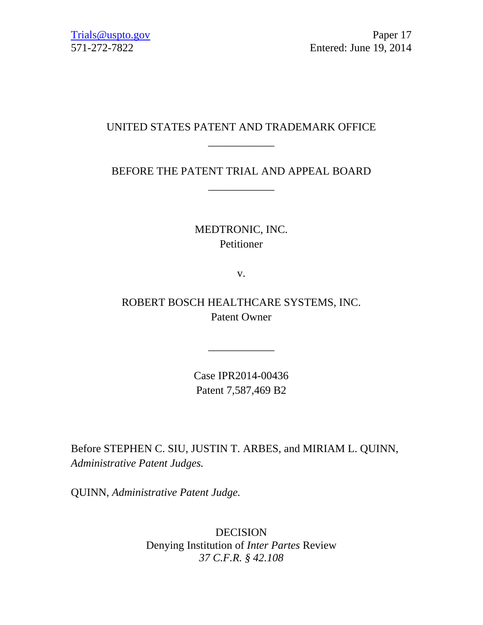# UNITED STATES PATENT AND TRADEMARK OFFICE \_\_\_\_\_\_\_\_\_\_\_\_

# BEFORE THE PATENT TRIAL AND APPEAL BOARD \_\_\_\_\_\_\_\_\_\_\_\_

# MEDTRONIC, INC. Petitioner

v.

ROBERT BOSCH HEALTHCARE SYSTEMS, INC. Patent Owner

> Case IPR2014-00436 Patent 7,587,469 B2

\_\_\_\_\_\_\_\_\_\_\_\_

Before STEPHEN C. SIU, JUSTIN T. ARBES, and MIRIAM L. QUINN, *Administrative Patent Judges.* 

QUINN, *Administrative Patent Judge.* 

DECISION Denying Institution of *Inter Partes* Review *37 C.F.R. § 42.108*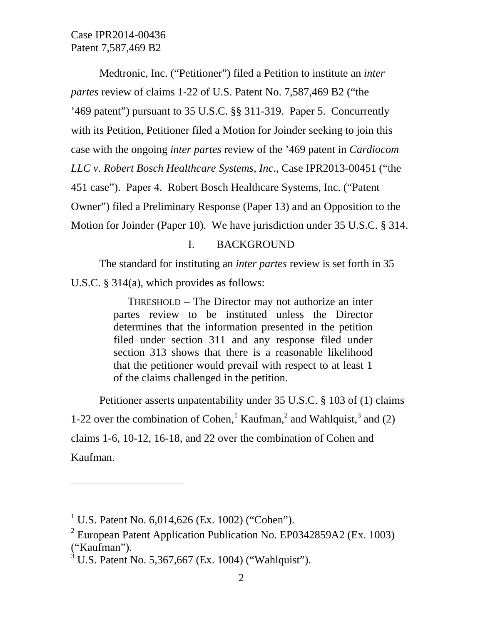Medtronic, Inc. ("Petitioner") filed a Petition to institute an *inter partes* review of claims 1-22 of U.S. Patent No. 7,587,469 B2 ("the '469 patent") pursuant to 35 U.S.C. §§ 311-319. Paper 5. Concurrently with its Petition, Petitioner filed a Motion for Joinder seeking to join this case with the ongoing *inter partes* review of the '469 patent in *Cardiocom LLC v. Robert Bosch Healthcare Systems, Inc.*, Case IPR2013-00451 ("the 451 case"). Paper 4. Robert Bosch Healthcare Systems, Inc. ("Patent Owner") filed a Preliminary Response (Paper 13) and an Opposition to the Motion for Joinder (Paper 10). We have jurisdiction under 35 U.S.C. § 314.

### I. BACKGROUND

The standard for instituting an *inter partes* review is set forth in 35 U.S.C. § 314(a), which provides as follows:

> THRESHOLD – The Director may not authorize an inter partes review to be instituted unless the Director determines that the information presented in the petition filed under section 311 and any response filed under section 313 shows that there is a reasonable likelihood that the petitioner would prevail with respect to at least 1 of the claims challenged in the petition.

Petitioner asserts unpatentability under 35 U.S.C. § 103 of (1) claims 1-22 over the combination of Cohen,<sup>1</sup> Kaufman,<sup>2</sup> and Wahlquist,<sup>3</sup> and (2) claims 1-6, 10-12, 16-18, and 22 over the combination of Cohen and Kaufman.

l

<sup>&</sup>lt;sup>1</sup> U.S. Patent No. 6,014,626 (Ex. 1002) ("Cohen").

<sup>&</sup>lt;sup>2</sup> European Patent Application Publication No. EP0342859A2 (Ex. 1003) ("Kaufman").

 $3 \text{ U.S.}$  Patent No. 5,367,667 (Ex. 1004) ("Wahlquist").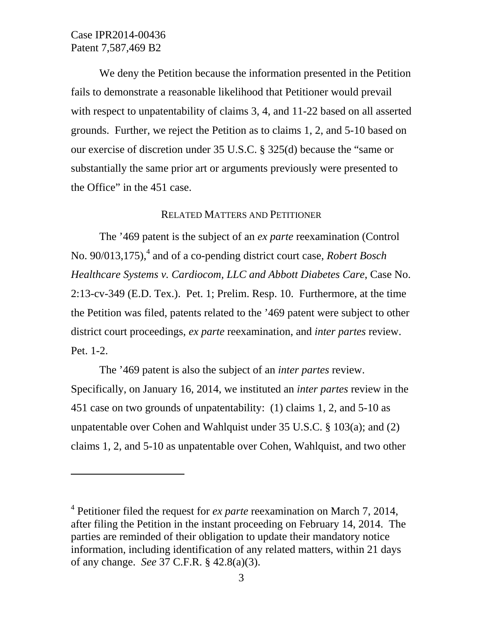$\overline{a}$ 

We deny the Petition because the information presented in the Petition fails to demonstrate a reasonable likelihood that Petitioner would prevail with respect to unpatentability of claims 3, 4, and 11-22 based on all asserted grounds. Further, we reject the Petition as to claims 1, 2, and 5-10 based on our exercise of discretion under 35 U.S.C. § 325(d) because the "same or substantially the same prior art or arguments previously were presented to the Office" in the 451 case.

### RELATED MATTERS AND PETITIONER

The '469 patent is the subject of an *ex parte* reexamination (Control No. 90/013,175),<sup>4</sup> and of a co-pending district court case, *Robert Bosch Healthcare Systems v. Cardiocom, LLC and Abbott Diabetes Care*, Case No. 2:13-cv-349 (E.D. Tex.). Pet. 1; Prelim. Resp. 10. Furthermore, at the time the Petition was filed, patents related to the '469 patent were subject to other district court proceedings, *ex parte* reexamination, and *inter partes* review. Pet. 1-2.

The '469 patent is also the subject of an *inter partes* review. Specifically, on January 16, 2014, we instituted an *inter partes* review in the 451 case on two grounds of unpatentability: (1) claims 1, 2, and 5-10 as unpatentable over Cohen and Wahlquist under 35 U.S.C. § 103(a); and (2) claims 1, 2, and 5-10 as unpatentable over Cohen, Wahlquist, and two other

<sup>4</sup> Petitioner filed the request for *ex parte* reexamination on March 7, 2014, after filing the Petition in the instant proceeding on February 14, 2014. The parties are reminded of their obligation to update their mandatory notice information, including identification of any related matters, within 21 days of any change. *See* 37 C.F.R. § 42.8(a)(3).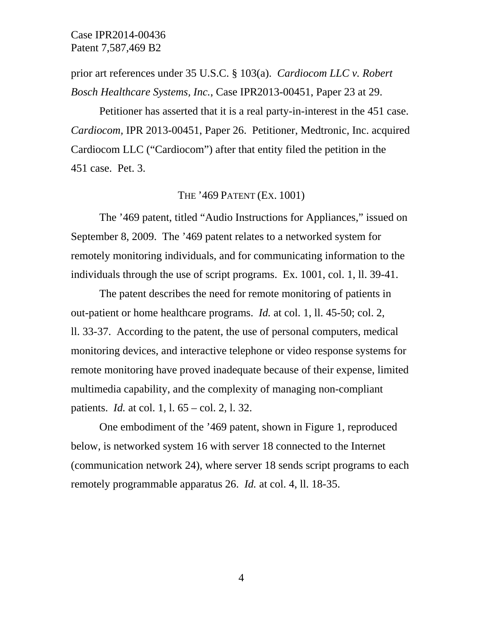prior art references under 35 U.S.C. § 103(a). *Cardiocom LLC v. Robert Bosch Healthcare Systems, Inc.*, Case IPR2013-00451, Paper 23 at 29.

Petitioner has asserted that it is a real party-in-interest in the 451 case. *Cardiocom,* IPR 2013-00451, Paper 26. Petitioner, Medtronic, Inc. acquired Cardiocom LLC ("Cardiocom") after that entity filed the petition in the 451 case. Pet. 3.

## THE '469 PATENT (EX. 1001)

The '469 patent, titled "Audio Instructions for Appliances," issued on September 8, 2009. The '469 patent relates to a networked system for remotely monitoring individuals, and for communicating information to the individuals through the use of script programs. Ex. 1001, col. 1, ll. 39-41.

The patent describes the need for remote monitoring of patients in out-patient or home healthcare programs. *Id.* at col. 1, ll. 45-50; col. 2, ll. 33-37. According to the patent, the use of personal computers, medical monitoring devices, and interactive telephone or video response systems for remote monitoring have proved inadequate because of their expense, limited multimedia capability, and the complexity of managing non-compliant patients. *Id.* at col. 1, l. 65 – col. 2, l. 32.

One embodiment of the '469 patent, shown in Figure 1, reproduced below, is networked system 16 with server 18 connected to the Internet (communication network 24), where server 18 sends script programs to each remotely programmable apparatus 26. *Id.* at col. 4, ll. 18-35.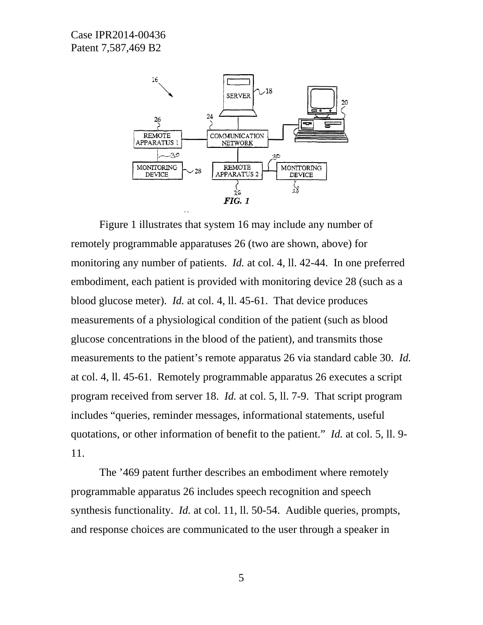

Figure 1 illustrates that system 16 may include any number of remotely programmable apparatuses 26 (two are shown, above) for monitoring any number of patients. *Id.* at col. 4, ll. 42-44. In one preferred embodiment, each patient is provided with monitoring device 28 (such as a blood glucose meter). *Id.* at col. 4, ll. 45-61. That device produces measurements of a physiological condition of the patient (such as blood glucose concentrations in the blood of the patient), and transmits those measurements to the patient's remote apparatus 26 via standard cable 30. *Id.*  at col. 4, ll. 45-61. Remotely programmable apparatus 26 executes a script program received from server 18. *Id.* at col. 5, ll. 7-9. That script program includes "queries, reminder messages, informational statements, useful quotations, or other information of benefit to the patient." *Id.* at col. 5, ll. 9- 11.

The '469 patent further describes an embodiment where remotely programmable apparatus 26 includes speech recognition and speech synthesis functionality. *Id.* at col. 11, 11. 50-54. Audible queries, prompts, and response choices are communicated to the user through a speaker in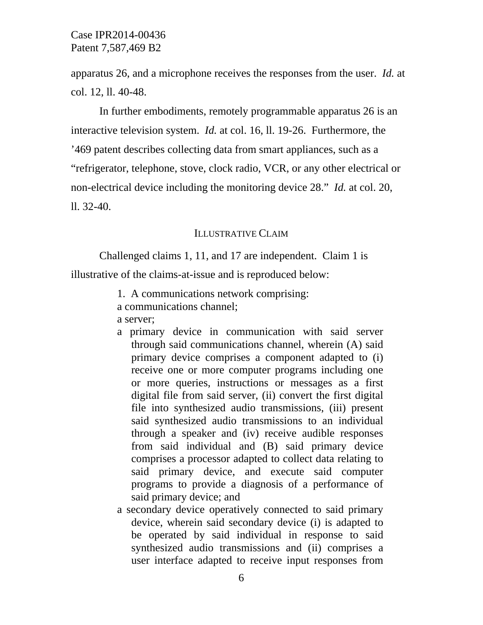apparatus 26, and a microphone receives the responses from the user. *Id.* at col. 12, ll. 40-48.

In further embodiments, remotely programmable apparatus 26 is an interactive television system. *Id.* at col. 16, ll. 19-26. Furthermore, the '469 patent describes collecting data from smart appliances, such as a "refrigerator, telephone, stove, clock radio, VCR, or any other electrical or non-electrical device including the monitoring device 28." *Id.* at col. 20, ll. 32-40.

## ILLUSTRATIVE CLAIM

Challenged claims 1, 11, and 17 are independent. Claim 1 is

illustrative of the claims-at-issue and is reproduced below:

- 1. A communications network comprising: a communications channel; a server;
- a primary device in communication with said server through said communications channel, wherein (A) said primary device comprises a component adapted to (i) receive one or more computer programs including one or more queries, instructions or messages as a first digital file from said server, (ii) convert the first digital file into synthesized audio transmissions, (iii) present said synthesized audio transmissions to an individual through a speaker and (iv) receive audible responses from said individual and (B) said primary device comprises a processor adapted to collect data relating to said primary device, and execute said computer programs to provide a diagnosis of a performance of said primary device; and
- a secondary device operatively connected to said primary device, wherein said secondary device (i) is adapted to be operated by said individual in response to said synthesized audio transmissions and (ii) comprises a user interface adapted to receive input responses from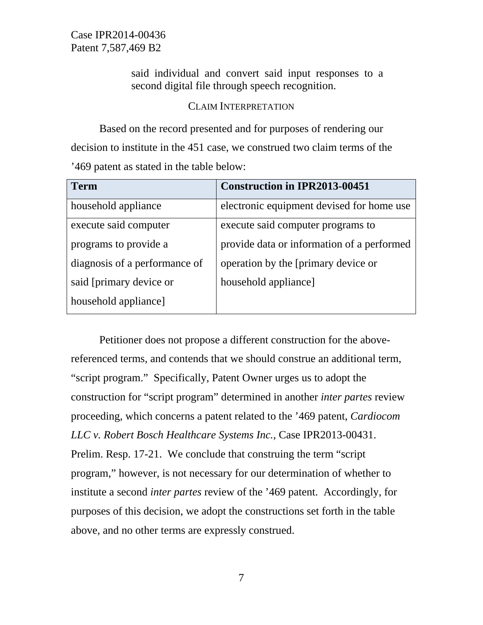> said individual and convert said input responses to a second digital file through speech recognition.

#### CLAIM INTERPRETATION

Based on the record presented and for purposes of rendering our decision to institute in the 451 case, we construed two claim terms of the '469 patent as stated in the table below:

| <b>Term</b>                   | <b>Construction in IPR2013-00451</b>       |
|-------------------------------|--------------------------------------------|
| household appliance           | electronic equipment devised for home use  |
| execute said computer         | execute said computer programs to          |
| programs to provide a         | provide data or information of a performed |
| diagnosis of a performance of | operation by the [primary device or        |
| said [primary device or       | household appliance                        |
| household appliance]          |                                            |

Petitioner does not propose a different construction for the abovereferenced terms, and contends that we should construe an additional term, "script program." Specifically, Patent Owner urges us to adopt the construction for "script program" determined in another *inter partes* review proceeding, which concerns a patent related to the '469 patent, *Cardiocom LLC v. Robert Bosch Healthcare Systems Inc.*, Case IPR2013-00431. Prelim. Resp. 17-21. We conclude that construing the term "script program," however, is not necessary for our determination of whether to institute a second *inter partes* review of the '469 patent. Accordingly, for purposes of this decision, we adopt the constructions set forth in the table above, and no other terms are expressly construed.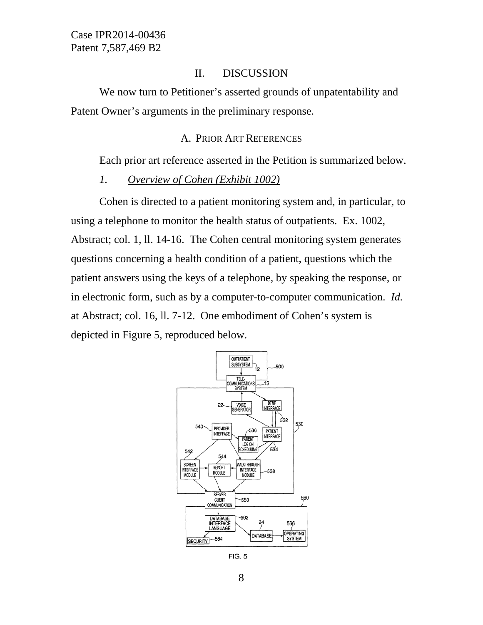### II. DISCUSSION

We now turn to Petitioner's asserted grounds of unpatentability and Patent Owner's arguments in the preliminary response.

#### A. PRIOR ART REFERENCES

Each prior art reference asserted in the Petition is summarized below.

*1. Overview of Cohen (Exhibit 1002)* 

Cohen is directed to a patient monitoring system and, in particular, to using a telephone to monitor the health status of outpatients. Ex. 1002, Abstract; col. 1, ll. 14-16. The Cohen central monitoring system generates questions concerning a health condition of a patient, questions which the patient answers using the keys of a telephone, by speaking the response, or in electronic form, such as by a computer-to-computer communication. *Id.*  at Abstract; col. 16, ll. 7-12. One embodiment of Cohen's system is depicted in Figure 5, reproduced below.



**FIG. 5**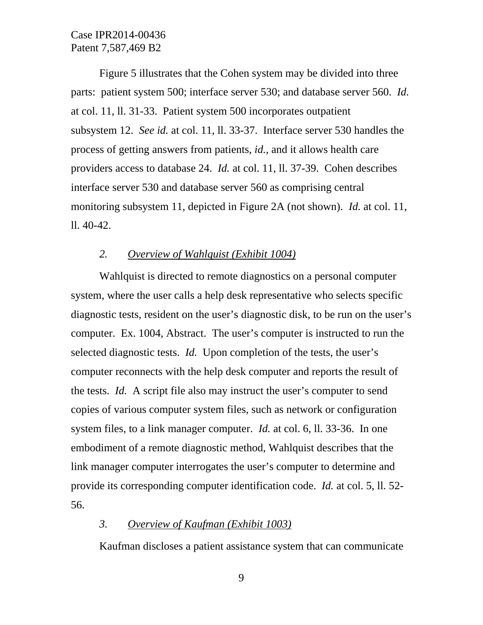Figure 5 illustrates that the Cohen system may be divided into three parts: patient system 500; interface server 530; and database server 560. *Id.* at col. 11, ll. 31-33. Patient system 500 incorporates outpatient subsystem 12. *See id.* at col. 11, ll. 33-37. Interface server 530 handles the process of getting answers from patients, *id.,* and it allows health care providers access to database 24. *Id.* at col. 11, ll. 37-39. Cohen describes interface server 530 and database server 560 as comprising central monitoring subsystem 11, depicted in Figure 2A (not shown). *Id.* at col. 11, ll. 40-42.

#### *2. Overview of Wahlquist (Exhibit 1004)*

Wahlquist is directed to remote diagnostics on a personal computer system, where the user calls a help desk representative who selects specific diagnostic tests, resident on the user's diagnostic disk, to be run on the user's computer. Ex. 1004, Abstract. The user's computer is instructed to run the selected diagnostic tests. *Id.* Upon completion of the tests, the user's computer reconnects with the help desk computer and reports the result of the tests. *Id.* A script file also may instruct the user's computer to send copies of various computer system files, such as network or configuration system files, to a link manager computer. *Id.* at col. 6, ll. 33-36. In one embodiment of a remote diagnostic method, Wahlquist describes that the link manager computer interrogates the user's computer to determine and provide its corresponding computer identification code. *Id.* at col. 5, ll. 52- 56.

# *3. Overview of Kaufman (Exhibit 1003)*

Kaufman discloses a patient assistance system that can communicate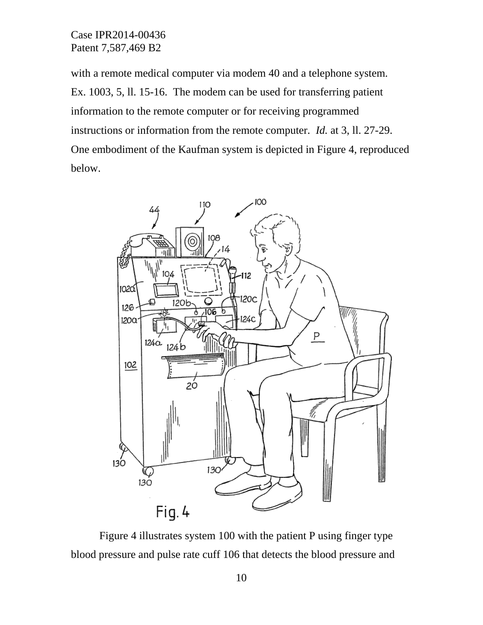with a remote medical computer via modem 40 and a telephone system. Ex. 1003, 5, ll. 15-16. The modem can be used for transferring patient information to the remote computer or for receiving programmed instructions or information from the remote computer. *Id.* at 3, ll. 27-29. One embodiment of the Kaufman system is depicted in Figure 4, reproduced below.



Figure 4 illustrates system 100 with the patient P using finger type blood pressure and pulse rate cuff 106 that detects the blood pressure and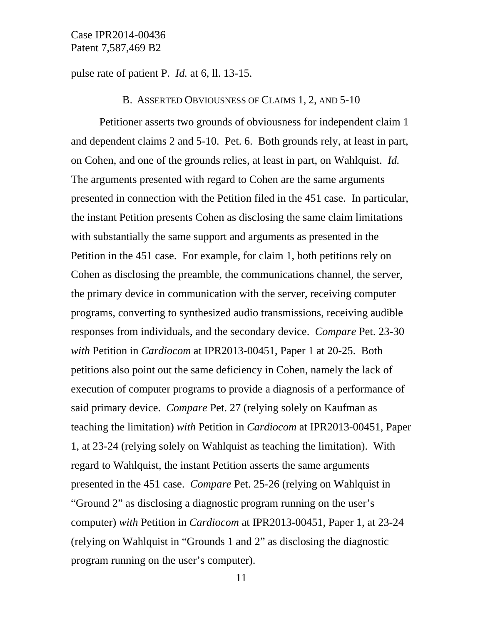pulse rate of patient P. *Id.* at 6, ll. 13-15.

B. ASSERTED OBVIOUSNESS OF CLAIMS 1, 2, AND 5-10

Petitioner asserts two grounds of obviousness for independent claim 1 and dependent claims 2 and 5-10. Pet. 6. Both grounds rely, at least in part, on Cohen, and one of the grounds relies, at least in part, on Wahlquist. *Id.*  The arguments presented with regard to Cohen are the same arguments presented in connection with the Petition filed in the 451 case. In particular, the instant Petition presents Cohen as disclosing the same claim limitations with substantially the same support and arguments as presented in the Petition in the 451 case. For example, for claim 1, both petitions rely on Cohen as disclosing the preamble, the communications channel, the server, the primary device in communication with the server, receiving computer programs, converting to synthesized audio transmissions, receiving audible responses from individuals, and the secondary device. *Compare* Pet. 23-30 *with* Petition in *Cardiocom* at IPR2013-00451, Paper 1 at 20-25. Both petitions also point out the same deficiency in Cohen, namely the lack of execution of computer programs to provide a diagnosis of a performance of said primary device. *Compare* Pet. 27 (relying solely on Kaufman as teaching the limitation) *with* Petition in *Cardiocom* at IPR2013-00451, Paper 1, at 23-24 (relying solely on Wahlquist as teaching the limitation). With regard to Wahlquist, the instant Petition asserts the same arguments presented in the 451 case. *Compare* Pet. 25-26 (relying on Wahlquist in "Ground 2" as disclosing a diagnostic program running on the user's computer) *with* Petition in *Cardiocom* at IPR2013-00451, Paper 1, at 23-24 (relying on Wahlquist in "Grounds 1 and 2" as disclosing the diagnostic program running on the user's computer).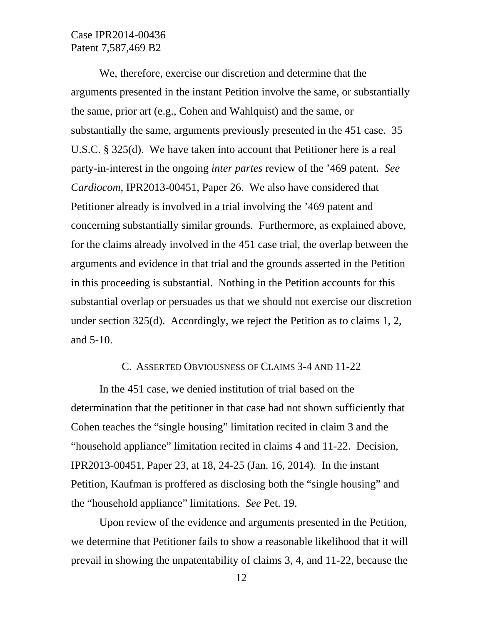We, therefore, exercise our discretion and determine that the arguments presented in the instant Petition involve the same, or substantially the same, prior art (e.g., Cohen and Wahlquist) and the same, or substantially the same, arguments previously presented in the 451 case. 35 U.S.C. § 325(d). We have taken into account that Petitioner here is a real party-in-interest in the ongoing *inter partes* review of the '469 patent. *See Cardiocom*, IPR2013-00451, Paper 26. We also have considered that Petitioner already is involved in a trial involving the '469 patent and concerning substantially similar grounds. Furthermore, as explained above, for the claims already involved in the 451 case trial, the overlap between the arguments and evidence in that trial and the grounds asserted in the Petition in this proceeding is substantial. Nothing in the Petition accounts for this substantial overlap or persuades us that we should not exercise our discretion under section 325(d). Accordingly, we reject the Petition as to claims 1, 2, and 5-10.

# C. ASSERTED OBVIOUSNESS OF CLAIMS 3-4 AND 11-22

In the 451 case, we denied institution of trial based on the determination that the petitioner in that case had not shown sufficiently that Cohen teaches the "single housing" limitation recited in claim 3 and the "household appliance" limitation recited in claims 4 and 11-22. Decision, IPR2013-00451, Paper 23, at 18, 24-25 (Jan. 16, 2014). In the instant Petition, Kaufman is proffered as disclosing both the "single housing" and the "household appliance" limitations. *See* Pet. 19.

Upon review of the evidence and arguments presented in the Petition, we determine that Petitioner fails to show a reasonable likelihood that it will prevail in showing the unpatentability of claims 3, 4, and 11-22, because the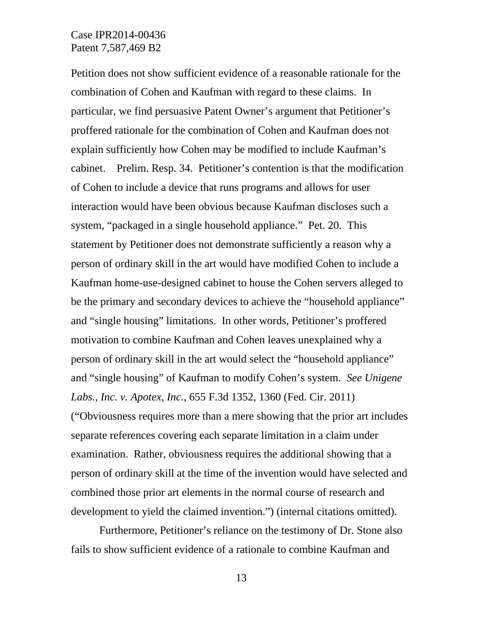Petition does not show sufficient evidence of a reasonable rationale for the combination of Cohen and Kaufman with regard to these claims. In particular, we find persuasive Patent Owner's argument that Petitioner's proffered rationale for the combination of Cohen and Kaufman does not explain sufficiently how Cohen may be modified to include Kaufman's cabinet. Prelim. Resp. 34. Petitioner's contention is that the modification of Cohen to include a device that runs programs and allows for user interaction would have been obvious because Kaufman discloses such a system, "packaged in a single household appliance." Pet. 20. This statement by Petitioner does not demonstrate sufficiently a reason why a person of ordinary skill in the art would have modified Cohen to include a Kaufman home-use-designed cabinet to house the Cohen servers alleged to be the primary and secondary devices to achieve the "household appliance" and "single housing" limitations. In other words, Petitioner's proffered motivation to combine Kaufman and Cohen leaves unexplained why a person of ordinary skill in the art would select the "household appliance" and "single housing" of Kaufman to modify Cohen's system. *See Unigene Labs., Inc. v. Apotex, Inc.*, 655 F.3d 1352, 1360 (Fed. Cir. 2011) ("Obviousness requires more than a mere showing that the prior art includes separate references covering each separate limitation in a claim under examination. Rather, obviousness requires the additional showing that a person of ordinary skill at the time of the invention would have selected and combined those prior art elements in the normal course of research and development to yield the claimed invention.") (internal citations omitted).

Furthermore, Petitioner's reliance on the testimony of Dr. Stone also fails to show sufficient evidence of a rationale to combine Kaufman and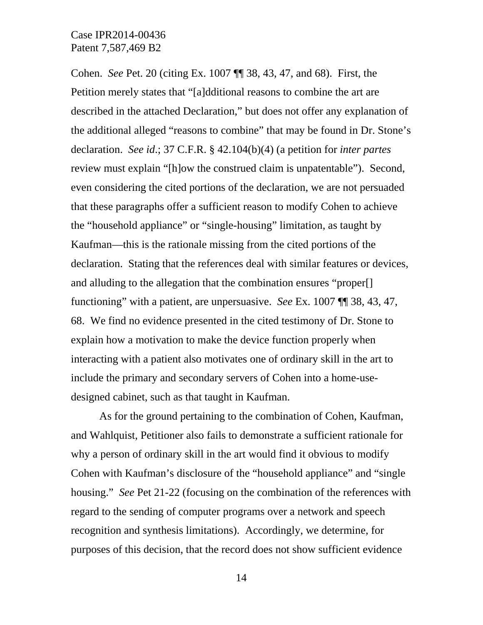Cohen. *See* Pet. 20 (citing Ex. 1007 ¶¶ 38, 43, 47, and 68). First, the Petition merely states that "[a]dditional reasons to combine the art are described in the attached Declaration," but does not offer any explanation of the additional alleged "reasons to combine" that may be found in Dr. Stone's declaration. *See id*.; 37 C.F.R. § 42.104(b)(4) (a petition for *inter partes* review must explain "[h]ow the construed claim is unpatentable"). Second, even considering the cited portions of the declaration, we are not persuaded that these paragraphs offer a sufficient reason to modify Cohen to achieve the "household appliance" or "single-housing" limitation, as taught by Kaufman—this is the rationale missing from the cited portions of the declaration. Stating that the references deal with similar features or devices, and alluding to the allegation that the combination ensures "proper[] functioning" with a patient, are unpersuasive. *See* Ex. 1007 ¶¶ 38, 43, 47, 68. We find no evidence presented in the cited testimony of Dr. Stone to explain how a motivation to make the device function properly when interacting with a patient also motivates one of ordinary skill in the art to include the primary and secondary servers of Cohen into a home-usedesigned cabinet, such as that taught in Kaufman.

As for the ground pertaining to the combination of Cohen, Kaufman, and Wahlquist, Petitioner also fails to demonstrate a sufficient rationale for why a person of ordinary skill in the art would find it obvious to modify Cohen with Kaufman's disclosure of the "household appliance" and "single housing." *See* Pet 21-22 (focusing on the combination of the references with regard to the sending of computer programs over a network and speech recognition and synthesis limitations). Accordingly, we determine, for purposes of this decision, that the record does not show sufficient evidence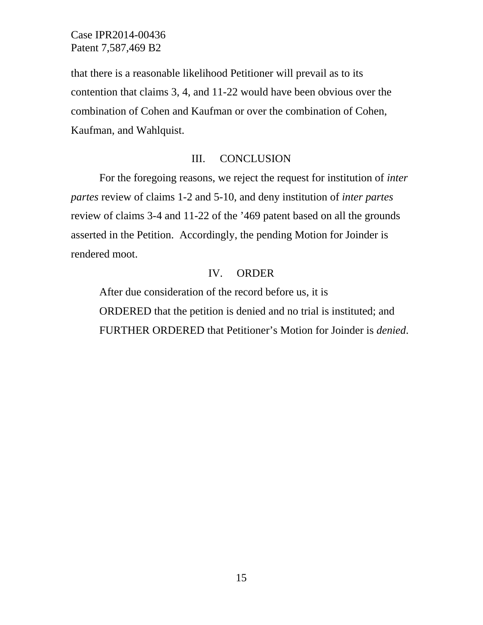that there is a reasonable likelihood Petitioner will prevail as to its contention that claims 3, 4, and 11-22 would have been obvious over the combination of Cohen and Kaufman or over the combination of Cohen, Kaufman, and Wahlquist.

## III. CONCLUSION

For the foregoing reasons, we reject the request for institution of *inter partes* review of claims 1-2 and 5-10, and deny institution of *inter partes* review of claims 3-4 and 11-22 of the '469 patent based on all the grounds asserted in the Petition. Accordingly, the pending Motion for Joinder is rendered moot.

#### IV. ORDER

After due consideration of the record before us, it is ORDERED that the petition is denied and no trial is instituted; and FURTHER ORDERED that Petitioner's Motion for Joinder is *denied*.